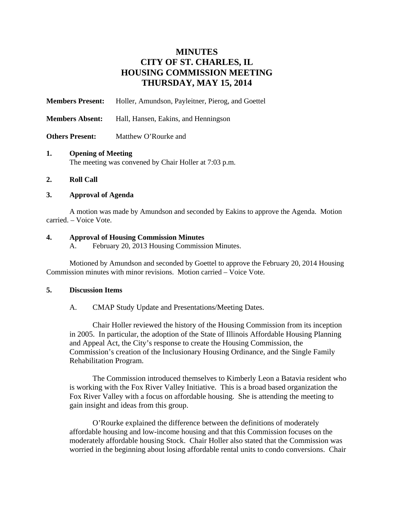# **MINUTES CITY OF ST. CHARLES, IL HOUSING COMMISSION MEETING THURSDAY, MAY 15, 2014**

**Members Present:** Holler, Amundson, Payleitner, Pierog, and Goettel **Members Absent:** Hall, Hansen, Eakins, and Henningson **Others Present:** Matthew O'Rourke and

### **1. Opening of Meeting**

The meeting was convened by Chair Holler at 7:03 p.m.

#### **2. Roll Call**

# **3. Approval of Agenda**

A motion was made by Amundson and seconded by Eakins to approve the Agenda. Motion carried. – Voice Vote.

# **4. Approval of Housing Commission Minutes**

A. February 20, 2013 Housing Commission Minutes.

Motioned by Amundson and seconded by Goettel to approve the February 20, 2014 Housing Commission minutes with minor revisions. Motion carried – Voice Vote.

#### **5. Discussion Items**

A. CMAP Study Update and Presentations/Meeting Dates.

Chair Holler reviewed the history of the Housing Commission from its inception in 2005. In particular, the adoption of the State of Illinois Affordable Housing Planning and Appeal Act, the City's response to create the Housing Commission, the Commission's creation of the Inclusionary Housing Ordinance, and the Single Family Rehabilitation Program.

The Commission introduced themselves to Kimberly Leon a Batavia resident who is working with the Fox River Valley Initiative. This is a broad based organization the Fox River Valley with a focus on affordable housing. She is attending the meeting to gain insight and ideas from this group.

O'Rourke explained the difference between the definitions of moderately affordable housing and low-income housing and that this Commission focuses on the moderately affordable housing Stock. Chair Holler also stated that the Commission was worried in the beginning about losing affordable rental units to condo conversions. Chair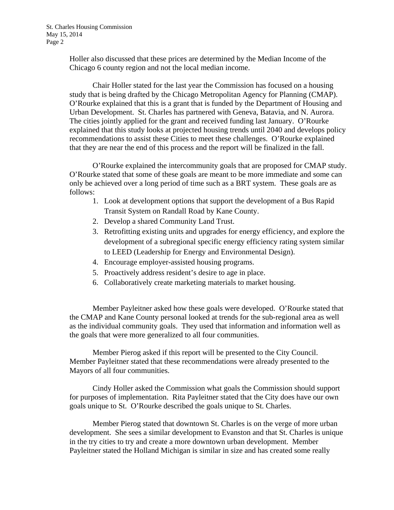Holler also discussed that these prices are determined by the Median Income of the Chicago 6 county region and not the local median income.

Chair Holler stated for the last year the Commission has focused on a housing study that is being drafted by the Chicago Metropolitan Agency for Planning (CMAP). O'Rourke explained that this is a grant that is funded by the Department of Housing and Urban Development. St. Charles has partnered with Geneva, Batavia, and N. Aurora. The cities jointly applied for the grant and received funding last January. O'Rourke explained that this study looks at projected housing trends until 2040 and develops policy recommendations to assist these Cities to meet these challenges. O'Rourke explained that they are near the end of this process and the report will be finalized in the fall.

O'Rourke explained the intercommunity goals that are proposed for CMAP study. O'Rourke stated that some of these goals are meant to be more immediate and some can only be achieved over a long period of time such as a BRT system. These goals are as follows:

- 1. Look at development options that support the development of a Bus Rapid Transit System on Randall Road by Kane County.
- 2. Develop a shared Community Land Trust.
- 3. Retrofitting existing units and upgrades for energy efficiency, and explore the development of a subregional specific energy efficiency rating system similar to LEED (Leadership for Energy and Environmental Design).
- 4. Encourage employer-assisted housing programs.
- 5. Proactively address resident's desire to age in place.
- 6. Collaboratively create marketing materials to market housing.

Member Payleitner asked how these goals were developed. O'Rourke stated that the CMAP and Kane County personal looked at trends for the sub-regional area as well as the individual community goals. They used that information and information well as the goals that were more generalized to all four communities.

Member Pierog asked if this report will be presented to the City Council. Member Payleitner stated that these recommendations were already presented to the Mayors of all four communities.

Cindy Holler asked the Commission what goals the Commission should support for purposes of implementation. Rita Payleitner stated that the City does have our own goals unique to St. O'Rourke described the goals unique to St. Charles.

Member Pierog stated that downtown St. Charles is on the verge of more urban development. She sees a similar development to Evanston and that St. Charles is unique in the try cities to try and create a more downtown urban development. Member Payleitner stated the Holland Michigan is similar in size and has created some really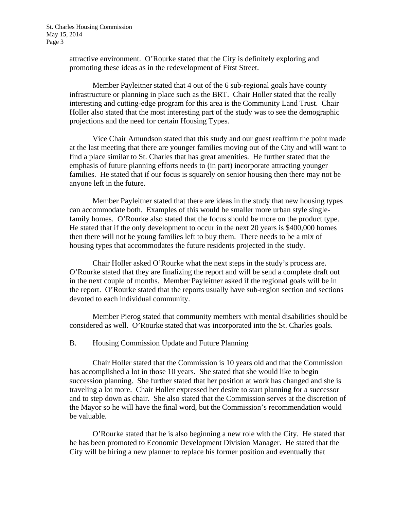attractive environment. O'Rourke stated that the City is definitely exploring and promoting these ideas as in the redevelopment of First Street.

Member Payleitner stated that 4 out of the 6 sub-regional goals have county infrastructure or planning in place such as the BRT. Chair Holler stated that the really interesting and cutting-edge program for this area is the Community Land Trust. Chair Holler also stated that the most interesting part of the study was to see the demographic projections and the need for certain Housing Types.

Vice Chair Amundson stated that this study and our guest reaffirm the point made at the last meeting that there are younger families moving out of the City and will want to find a place similar to St. Charles that has great amenities. He further stated that the emphasis of future planning efforts needs to (in part) incorporate attracting younger families. He stated that if our focus is squarely on senior housing then there may not be anyone left in the future.

Member Payleitner stated that there are ideas in the study that new housing types can accommodate both. Examples of this would be smaller more urban style singlefamily homes. O'Rourke also stated that the focus should be more on the product type. He stated that if the only development to occur in the next 20 years is \$400,000 homes then there will not be young families left to buy them. There needs to be a mix of housing types that accommodates the future residents projected in the study.

Chair Holler asked O'Rourke what the next steps in the study's process are. O'Rourke stated that they are finalizing the report and will be send a complete draft out in the next couple of months. Member Payleitner asked if the regional goals will be in the report. O'Rourke stated that the reports usually have sub-region section and sections devoted to each individual community.

Member Pierog stated that community members with mental disabilities should be considered as well. O'Rourke stated that was incorporated into the St. Charles goals.

B. Housing Commission Update and Future Planning

Chair Holler stated that the Commission is 10 years old and that the Commission has accomplished a lot in those 10 years. She stated that she would like to begin succession planning. She further stated that her position at work has changed and she is traveling a lot more. Chair Holler expressed her desire to start planning for a successor and to step down as chair. She also stated that the Commission serves at the discretion of the Mayor so he will have the final word, but the Commission's recommendation would be valuable.

O'Rourke stated that he is also beginning a new role with the City. He stated that he has been promoted to Economic Development Division Manager. He stated that the City will be hiring a new planner to replace his former position and eventually that